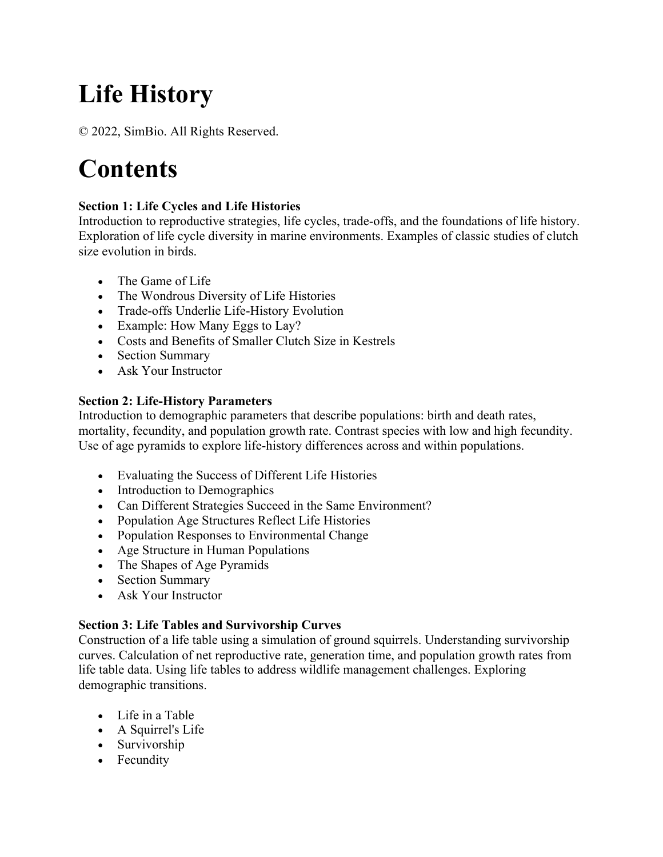# **Life History**

© 2022, SimBio. All Rights Reserved.

## **Contents**

#### **Section 1: Life Cycles and Life Histories**

Introduction to reproductive strategies, life cycles, trade-offs, and the foundations of life history. Exploration of life cycle diversity in marine environments. Examples of classic studies of clutch size evolution in birds.

- The Game of Life
- The Wondrous Diversity of Life Histories
- Trade-offs Underlie Life-History Evolution
- Example: How Many Eggs to Lay?
- Costs and Benefits of Smaller Clutch Size in Kestrels
- Section Summary
- Ask Your Instructor

### **Section 2: Life-History Parameters**

Introduction to demographic parameters that describe populations: birth and death rates, mortality, fecundity, and population growth rate. Contrast species with low and high fecundity. Use of age pyramids to explore life-history differences across and within populations.

- Evaluating the Success of Different Life Histories
- Introduction to Demographics
- Can Different Strategies Succeed in the Same Environment?
- Population Age Structures Reflect Life Histories
- Population Responses to Environmental Change
- Age Structure in Human Populations
- The Shapes of Age Pyramids
- Section Summary
- Ask Your Instructor

#### **Section 3: Life Tables and Survivorship Curves**

Construction of a life table using a simulation of ground squirrels. Understanding survivorship curves. Calculation of net reproductive rate, generation time, and population growth rates from life table data. Using life tables to address wildlife management challenges. Exploring demographic transitions.

- Life in a Table
- A Squirrel's Life
- Survivorship
- Fecundity